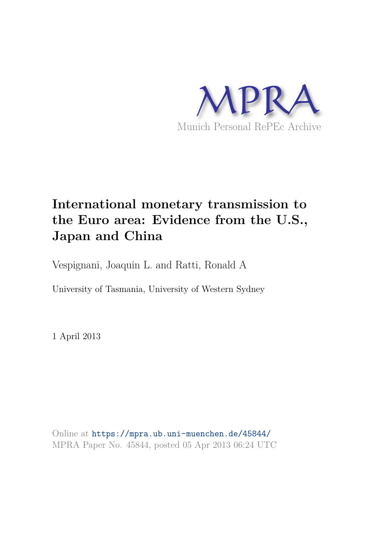

# **International monetary transmission to the Euro area: Evidence from the U.S., Japan and China**

Vespignani, Joaquin L. and Ratti, Ronald A

University of Tasmania, University of Western Sydney

1 April 2013

Online at https://mpra.ub.uni-muenchen.de/45844/ MPRA Paper No. 45844, posted 05 Apr 2013 06:24 UTC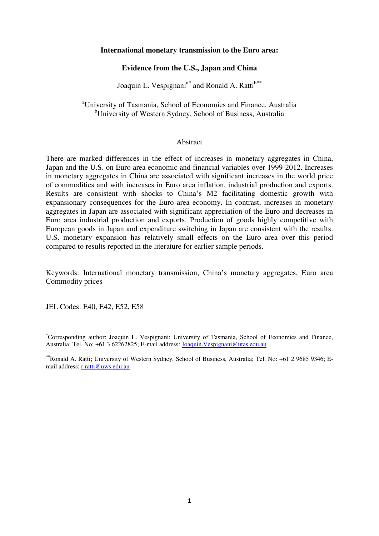#### **International monetary transmission to the Euro area:**

# **Evidence from the U.S., Japan and China**

Joaquin L. Vespignani<sup>a\*</sup> and Ronald A. Ratti<sup>b\*\*</sup>

<sup>a</sup>University of Tasmania, School of Economics and Finance, Australia <sup>b</sup>University of Western Sydney, School of Business, Australia

#### Abstract

There are marked differences in the effect of increases in monetary aggregates in China, Japan and the U.S. on Euro area economic and financial variables over 1999-2012. Increases in monetary aggregates in China are associated with significant increases in the world price of commodities and with increases in Euro area inflation, industrial production and exports. Results are consistent with shocks to China"s M2 facilitating domestic growth with expansionary consequences for the Euro area economy. In contrast, increases in monetary aggregates in Japan are associated with significant appreciation of the Euro and decreases in Euro area industrial production and exports. Production of goods highly competitive with European goods in Japan and expenditure switching in Japan are consistent with the results. U.S. monetary expansion has relatively small effects on the Euro area over this period compared to results reported in the literature for earlier sample periods.

Keywords: International monetary transmission, China"s monetary aggregates, Euro area Commodity prices

JEL Codes: E40, E42, E52, E58

\*Corresponding author: Joaquin L. Vespignani; University of Tasmania, School of Economics and Finance, Australia; Tel. No: +61 3 62262825; E-mail address[: Joaquin.Vespignani@utas.edu.au](mailto:Joaquin.Vespignani@utas.edu.au) 

\*\*Ronald A. Ratti; University of Western Sydney, School of Business, Australia; Tel. No: +61 2 9685 9346; Email address: [r.ratti@uws.edu.au](mailto:r.ratti@uws.edu.au)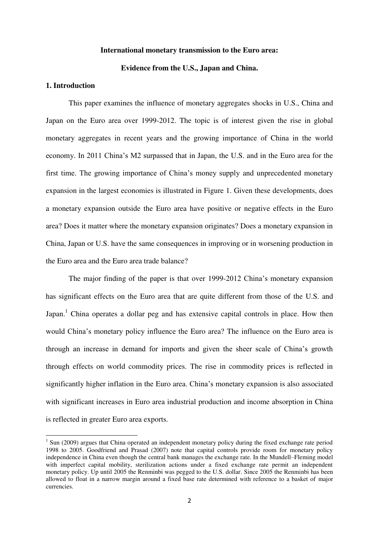#### **International monetary transmission to the Euro area:**

#### **Evidence from the U.S., Japan and China.**

# **1. Introduction**

 $\overline{a}$ 

This paper examines the influence of monetary aggregates shocks in U.S., China and Japan on the Euro area over 1999-2012. The topic is of interest given the rise in global monetary aggregates in recent years and the growing importance of China in the world economy. In 2011 China's M2 surpassed that in Japan, the U.S. and in the Euro area for the first time. The growing importance of China's money supply and unprecedented monetary expansion in the largest economies is illustrated in Figure 1. Given these developments, does a monetary expansion outside the Euro area have positive or negative effects in the Euro area? Does it matter where the monetary expansion originates? Does a monetary expansion in China, Japan or U.S. have the same consequences in improving or in worsening production in the Euro area and the Euro area trade balance?

The major finding of the paper is that over 1999-2012 China's monetary expansion has significant effects on the Euro area that are quite different from those of the U.S. and Japan.<sup>1</sup> China operates a dollar peg and has extensive capital controls in place. How then would China's monetary policy influence the Euro area? The influence on the Euro area is through an increase in demand for imports and given the sheer scale of China"s growth through effects on world commodity prices. The rise in commodity prices is reflected in significantly higher inflation in the Euro area. China's monetary expansion is also associated with significant increases in Euro area industrial production and income absorption in China is reflected in greater Euro area exports.

<sup>&</sup>lt;sup>1</sup> Sun (2009) argues that China operated an independent monetary policy during the fixed exchange rate period 1998 to 2005. Goodfriend and Prasad (2007) note that capital controls provide room for monetary policy independence in China even though the central bank manages the exchange rate. In the Mundell–Fleming model with imperfect capital mobility, sterilization actions under a fixed exchange rate permit an independent monetary policy. Up until 2005 the Renminbi was pegged to the U.S. dollar. Since 2005 the Renminbi has been allowed to float in a narrow margin around a fixed base rate determined with reference to a basket of major currencies.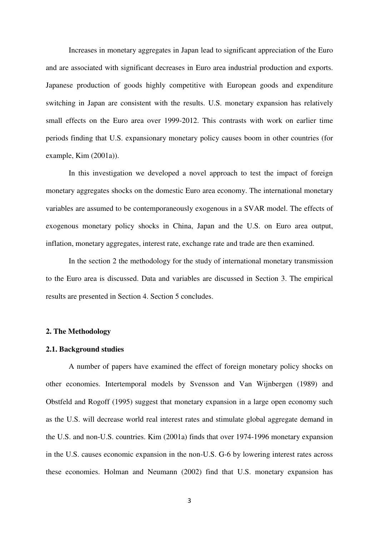Increases in monetary aggregates in Japan lead to significant appreciation of the Euro and are associated with significant decreases in Euro area industrial production and exports. Japanese production of goods highly competitive with European goods and expenditure switching in Japan are consistent with the results. U.S. monetary expansion has relatively small effects on the Euro area over 1999-2012. This contrasts with work on earlier time periods finding that U.S. expansionary monetary policy causes boom in other countries (for example, Kim (2001a)).

In this investigation we developed a novel approach to test the impact of foreign monetary aggregates shocks on the domestic Euro area economy. The international monetary variables are assumed to be contemporaneously exogenous in a SVAR model. The effects of exogenous monetary policy shocks in China, Japan and the U.S. on Euro area output, inflation, monetary aggregates, interest rate, exchange rate and trade are then examined.

In the section 2 the methodology for the study of international monetary transmission to the Euro area is discussed. Data and variables are discussed in Section 3. The empirical results are presented in Section 4. Section 5 concludes.

# **2. The Methodology**

### **2.1. Background studies**

A number of papers have examined the effect of foreign monetary policy shocks on other economies. Intertemporal models by Svensson and Van Wijnbergen (1989) and Obstfeld and Rogoff (1995) suggest that monetary expansion in a large open economy such as the U.S. will decrease world real interest rates and stimulate global aggregate demand in the U.S. and non-U.S. countries. Kim (2001a) finds that over 1974-1996 monetary expansion in the U.S. causes economic expansion in the non-U.S. G-6 by lowering interest rates across these economies. Holman and Neumann (2002) find that U.S. monetary expansion has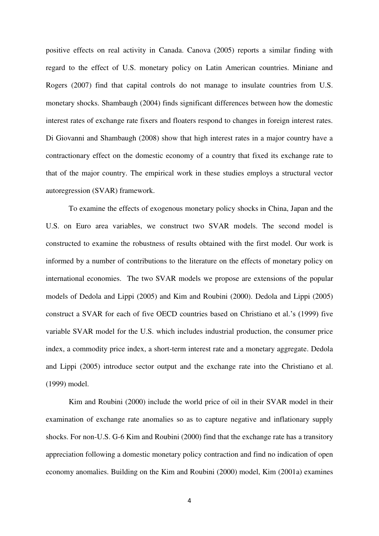positive effects on real activity in Canada. Canova (2005) reports a similar finding with regard to the effect of U.S. monetary policy on Latin American countries. Miniane and Rogers (2007) find that capital controls do not manage to insulate countries from U.S. monetary shocks. Shambaugh (2004) finds significant differences between how the domestic interest rates of exchange rate fixers and floaters respond to changes in foreign interest rates. Di Giovanni and Shambaugh (2008) show that high interest rates in a major country have a contractionary effect on the domestic economy of a country that fixed its exchange rate to that of the major country. The empirical work in these studies employs a structural vector autoregression (SVAR) framework.

To examine the effects of exogenous monetary policy shocks in China, Japan and the U.S. on Euro area variables, we construct two SVAR models. The second model is constructed to examine the robustness of results obtained with the first model. Our work is informed by a number of contributions to the literature on the effects of monetary policy on international economies. The two SVAR models we propose are extensions of the popular models of Dedola and Lippi (2005) and Kim and Roubini (2000). Dedola and Lippi (2005) construct a SVAR for each of five OECD countries based on Christiano et al.'s (1999) five variable SVAR model for the U.S. which includes industrial production, the consumer price index, a commodity price index, a short-term interest rate and a monetary aggregate. Dedola and Lippi (2005) introduce sector output and the exchange rate into the Christiano et al. (1999) model.

Kim and Roubini (2000) include the world price of oil in their SVAR model in their examination of exchange rate anomalies so as to capture negative and inflationary supply shocks. For non-U.S. G-6 Kim and Roubini (2000) find that the exchange rate has a transitory appreciation following a domestic monetary policy contraction and find no indication of open economy anomalies. Building on the Kim and Roubini (2000) model, Kim (2001a) examines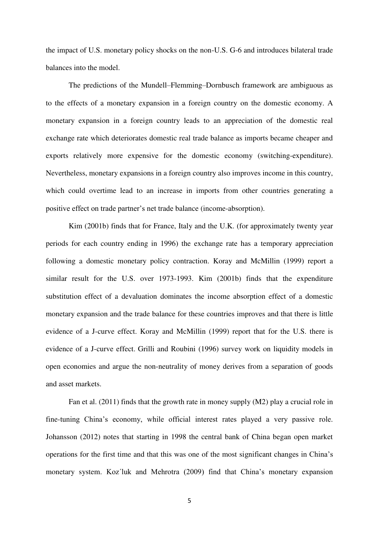the impact of U.S. monetary policy shocks on the non-U.S. G-6 and introduces bilateral trade balances into the model.

The predictions of the Mundell–Flemming–Dornbusch framework are ambiguous as to the effects of a monetary expansion in a foreign country on the domestic economy. A monetary expansion in a foreign country leads to an appreciation of the domestic real exchange rate which deteriorates domestic real trade balance as imports became cheaper and exports relatively more expensive for the domestic economy (switching-expenditure). Nevertheless, monetary expansions in a foreign country also improves income in this country, which could overtime lead to an increase in imports from other countries generating a positive effect on trade partner's net trade balance (income-absorption).

Kim (2001b) finds that for France, Italy and the U.K. (for approximately twenty year periods for each country ending in 1996) the exchange rate has a temporary appreciation following a domestic monetary policy contraction. Koray and McMillin (1999) report a similar result for the U.S. over 1973-1993. Kim (2001b) finds that the expenditure substitution effect of a devaluation dominates the income absorption effect of a domestic monetary expansion and the trade balance for these countries improves and that there is little evidence of a J-curve effect. Koray and McMillin (1999) report that for the U.S. there is evidence of a J-curve effect. Grilli and Roubini (1996) survey work on liquidity models in open economies and argue the non-neutrality of money derives from a separation of goods and asset markets.

Fan et al. (2011) finds that the growth rate in money supply (M2) play a crucial role in fine-tuning China"s economy, while official interest rates played a very passive role. Johansson (2012) notes that starting in 1998 the central bank of China began open market operations for the first time and that this was one of the most significant changes in China's monetary system. Koz´luk and Mehrotra (2009) find that China"s monetary expansion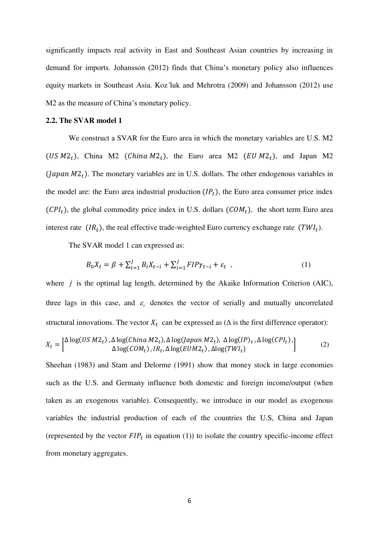significantly impacts real activity in East and Southeast Asian countries by increasing in demand for imports. Johansson (2012) finds that China"s monetary policy also influences equity markets in Southeast Asia. Koz´luk and Mehrotra (2009) and Johansson (2012) use M2 as the measure of China's monetary policy.

#### **2.2. The SVAR model 1**

We construct a SVAR for the Euro area in which the monetary variables are U.S. M2 (US  $M_2$ ), China M2 (China  $M_2$ ), the Euro area M2 (EU  $M_2$ ), and Japan M2 (Japan  $M2<sub>t</sub>$ ). The monetary variables are in U.S. dollars. The other endogenous variables in the model are: the Euro area industrial production  $(IP<sub>t</sub>)$ , the Euro area consumer price index  $(CPI<sub>t</sub>)$ , the global commodity price index in U.S. dollars  $(COM<sub>t</sub>)$ , the short term Euro area interest rate  $(IR_t)$ , the real effective trade-weighted Euro currency exchange rate  $(TW_l)$ .

The SVAR model 1 can expressed as:

$$
B_0 X_t = \beta + \sum_{i=1}^j B_i X_{t-i} + \sum_{i=1}^j FIP \gamma_{t-i} + \varepsilon_t , \qquad (1)
$$

where  $j$  is the optimal lag length, determined by the Akaike Information Criterion (AIC), three lags in this case, and  $\varepsilon$ <sub>t</sub> denotes the vector of serially and mutually uncorrelated structural innovations. The vector  $X_t$  can be expressed as ( $\Delta$  is the first difference operator):

$$
X_t = \begin{bmatrix} \Delta \log(US \, M2_t), \Delta \log(China \, M2_t), \Delta \log(Japan \, M2_t), \, \Delta \log(IP)_t, \Delta \log(CPI_t), \\ \Delta \log(COM_t), IR_t, \Delta \log(EUM2_t), \Delta \log(TWI_t) \end{bmatrix} \tag{2}
$$

Sheehan (1983) and Stam and Delorme (1991) show that money stock in large economies such as the U.S. and Germany influence both domestic and foreign income/output (when taken as an exogenous variable). Consequently, we introduce in our model as exogenous variables the industrial production of each of the countries the U.S, China and Japan (represented by the vector  $FIP_t$  in equation (1)) to isolate the country specific-income effect from monetary aggregates.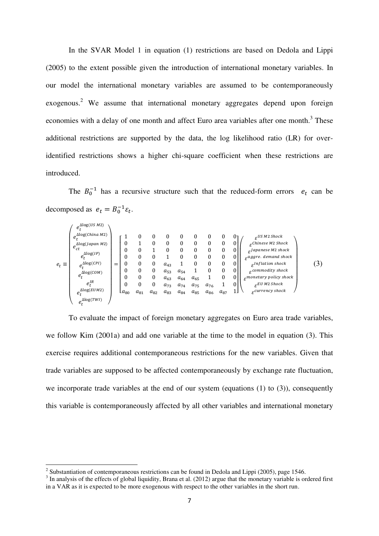In the SVAR Model 1 in equation (1) restrictions are based on Dedola and Lippi (2005) to the extent possible given the introduction of international monetary variables. In our model the international monetary variables are assumed to be contemporaneously exogenous.<sup>2</sup> We assume that international monetary aggregates depend upon foreign economies with a delay of one month and affect Euro area variables after one month.<sup>3</sup> These additional restrictions are supported by the data, the log likelihood ratio (LR) for overidentified restrictions shows a higher chi-square coefficient when these restrictions are introduced.

The  $B_0^{-1}$  has a recursive structure such that the reduced-form errors  $e_t$  can be decomposed as  $e_t = B_0^{-1} \varepsilon_t$ .

$$
e_{t} \equiv \begin{pmatrix} e_{t}^{\text{alog}(Us\,M2)} \\ e_{t}^{\text{alog}(lapan\,M2)} \\ e_{t}^{\text{alog}(lapan\,M2)} \\ e_{t}^{\text{alog}(lapon} \\ e_{t}^{\text{alog}(CPI)} \\ e_{t}^{\text{alog}(COM)} \\ e_{t}^{\text{H}} \\ e_{t}^{\text{alog}(COM)} \\ e_{t}^{\text{Alog}(CMI)} \end{pmatrix} = \begin{bmatrix} 1 & 0 & 0 & 0 & 0 & 0 & 0 & 0 & 0 \\ 0 & 1 & 0 & 0 & 0 & 0 & 0 & 0 \\ 0 & 0 & 1 & 0 & 0 & 0 & 0 & 0 \\ 0 & 0 & 0 & 1 & 0 & 0 & 0 & 0 \\ 0 & 0 & 0 & 1 & 0 & 0 & 0 & 0 \\ 0 & 0 & 0 & a_{43} & 1 & 0 & 0 & 0 \\ 0 & 0 & 0 & a_{53} & a_{54} & 1 & 0 & 0 & 0 \\ 0 & 0 & 0 & a_{63} & a_{64} & a_{65} & 1 & 0 & 0 \\ 0 & 0 & 0 & a_{73} & a_{74} & a_{75} & a_{76} & 1 & 0 \\ a_{80} & a_{81} & a_{82} & a_{83} & a_{84} & a_{85} & a_{86} & a_{87} & 1 \end{bmatrix} \begin{pmatrix} e^{US M2 \, Shock} \\ e^{L1 \,mines M2 \, shock} \\ e^{L1 \,mines M2 \, shock} \\ e^{L1 \,m faton \, shock} \\ e^{L1 \,m faton \, shock} \\ e^{L1 \,m faton \, shock} \\ e^{L1 \,m faton \, shock} \\ e^{L1 \,m faton \, shock} \\ e^{L2 \,m fact} \\ e^{L3 \,m fact} \\ e^{L4 \,m fact} \\ e^{L5 \,m fact} \\ e^{L6 \,m fact} \end{pmatrix} \qquad (3)
$$

To evaluate the impact of foreign monetary aggregates on Euro area trade variables, we follow Kim (2001a) and add one variable at the time to the model in equation (3). This exercise requires additional contemporaneous restrictions for the new variables. Given that trade variables are supposed to be affected contemporaneously by exchange rate fluctuation, we incorporate trade variables at the end of our system (equations (1) to (3)), consequently this variable is contemporaneously affected by all other variables and international monetary

 $\overline{a}$ 

<sup>&</sup>lt;sup>2</sup> Substantiation of contemporaneous restrictions can be found in Dedola and Lippi (2005), page 1546.<br><sup>3</sup> In analysis of the effects of global liquidity, Brana et al. (2012) argue that the monetary variable is ordered fi in a VAR as it is expected to be more exogenous with respect to the other variables in the short run.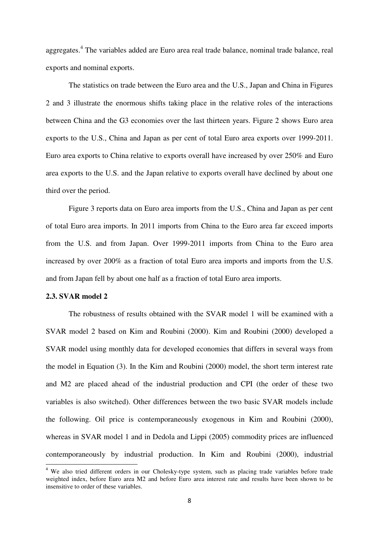aggregates.<sup>4</sup> The variables added are Euro area real trade balance, nominal trade balance, real exports and nominal exports.

The statistics on trade between the Euro area and the U.S., Japan and China in Figures 2 and 3 illustrate the enormous shifts taking place in the relative roles of the interactions between China and the G3 economies over the last thirteen years. Figure 2 shows Euro area exports to the U.S., China and Japan as per cent of total Euro area exports over 1999-2011. Euro area exports to China relative to exports overall have increased by over 250% and Euro area exports to the U.S. and the Japan relative to exports overall have declined by about one third over the period.

Figure 3 reports data on Euro area imports from the U.S., China and Japan as per cent of total Euro area imports. In 2011 imports from China to the Euro area far exceed imports from the U.S. and from Japan. Over 1999-2011 imports from China to the Euro area increased by over 200% as a fraction of total Euro area imports and imports from the U.S. and from Japan fell by about one half as a fraction of total Euro area imports.

# **2.3. SVAR model 2**

The robustness of results obtained with the SVAR model 1 will be examined with a SVAR model 2 based on Kim and Roubini (2000). Kim and Roubini (2000) developed a SVAR model using monthly data for developed economies that differs in several ways from the model in Equation (3). In the Kim and Roubini (2000) model, the short term interest rate and M2 are placed ahead of the industrial production and CPI (the order of these two variables is also switched). Other differences between the two basic SVAR models include the following. Oil price is contemporaneously exogenous in Kim and Roubini (2000), whereas in SVAR model 1 and in Dedola and Lippi (2005) commodity prices are influenced contemporaneously by industrial production. In Kim and Roubini (2000), industrial  $\overline{a}$ 

<sup>&</sup>lt;sup>4</sup> We also tried different orders in our Cholesky-type system, such as placing trade variables before trade weighted index, before Euro area M2 and before Euro area interest rate and results have been shown to be insensitive to order of these variables.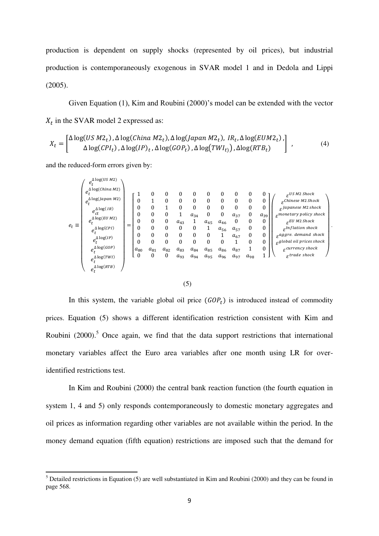production is dependent on supply shocks (represented by oil prices), but industrial production is contemporaneously exogenous in SVAR model 1 and in Dedola and Lippi (2005).

Given Equation  $(1)$ , Kim and Roubini  $(2000)$ 's model can be extended with the vector  $X_t$  in the SVAR model 2 expressed as:

$$
X_t = \begin{bmatrix} \Delta \log(US \, M2_t), \Delta \log(China \, M2_t), \Delta \log(Japan \, M2_t), \, IR_t, \Delta \log(EUM2_t), \\ \Delta \log(CPI_t), \Delta \log(IP)_t, \Delta \log(GOP_t), \Delta \log(TWI_t), \Delta \log(RTB_t) \end{bmatrix},
$$
\n
$$
(4)
$$

and the reduced-form errors given by:

 $\overline{a}$ 

|              | $e_t^{\Delta \log(U S\ M2)}$                                                                                                                                                                                                                                |     |                                                                             |                                                                                                           |                                                                                                                                               |                                                                                |                                                                                                                            |                                                                                                                     |                                                                                                                 |                                                                                                                |                                                                                                                                  |                                                                                                             |                                                                                                                                                                                                                                                                                                                                        |
|--------------|-------------------------------------------------------------------------------------------------------------------------------------------------------------------------------------------------------------------------------------------------------------|-----|-----------------------------------------------------------------------------|-----------------------------------------------------------------------------------------------------------|-----------------------------------------------------------------------------------------------------------------------------------------------|--------------------------------------------------------------------------------|----------------------------------------------------------------------------------------------------------------------------|---------------------------------------------------------------------------------------------------------------------|-----------------------------------------------------------------------------------------------------------------|----------------------------------------------------------------------------------------------------------------|----------------------------------------------------------------------------------------------------------------------------------|-------------------------------------------------------------------------------------------------------------|----------------------------------------------------------------------------------------------------------------------------------------------------------------------------------------------------------------------------------------------------------------------------------------------------------------------------------------|
|              | $\int e_L^{\Delta \log (China\ M2)}$<br>$e_t^{\Delta \log (Japan\,M2)}$<br>$e_{ct}^{\Delta \log (IR)}$<br>$e_t^{\Delta \log(EU\,M2)}$<br>$e_t^{\Delta \log (CPI)}$<br>$e_{t}^{\Delta \log (IP)}$<br>$e_{t}^{\Delta \log (GOP)}$<br>$e^{\Delta \log(TWI)}_t$ | $=$ | T<br>0<br>0<br>0<br>0<br>0<br>0<br>$\mathbf{0}$<br>$a_{80}$<br>$\mathbf{0}$ | 0<br>1<br>$\boldsymbol{0}$<br>0<br>$\boldsymbol{0}$<br>$\mathbf{0}$<br>0<br>$\mathbf{0}$<br>$a_{81}$<br>0 | $\theta$<br>$\boldsymbol{0}$<br>1<br>$\boldsymbol{0}$<br>$\boldsymbol{0}$<br>$\theta$<br>$\theta$<br>$\mathbf{0}$<br>$a_{82}$<br>$\mathbf{0}$ | 0<br>0<br>0<br>1<br>$a_{43}$<br>0<br>0<br>$\mathbf{0}$<br>$a_{83}$<br>$a_{93}$ | $\mathbf{0}$<br>$\mathbf{0}$<br>$\mathbf{0}$<br>$a_{34}$<br>1<br>0<br>$\mathbf{0}$<br>$\mathbf{0}$<br>$a_{84}$<br>$a_{94}$ | 0<br>$\mathbf{0}$<br>0<br>$\boldsymbol{0}$<br>$a_{45}$<br>⊥<br>$\mathbf{0}$<br>$\mathbf{0}$<br>$a_{85}$<br>$a_{95}$ | 0<br>$\mathbf{0}$<br>0<br>$\boldsymbol{0}$<br>$a_{46}$<br>$a_{56}$<br>1<br>$\mathbf{0}$<br>$a_{86}$<br>$a_{96}$ | 0<br>$\mathbf{0}$<br>$\mathbf{0}$<br>$a_{37}$<br>$\theta$<br>$a_{57}$<br>$a_{67}$<br>1<br>$a_{87}$<br>$a_{97}$ | 0<br>$\boldsymbol{0}$<br>$\boldsymbol{0}$<br>$\boldsymbol{0}$<br>$\boldsymbol{0}$<br>$\boldsymbol{0}$<br>0<br>0<br>1<br>$a_{98}$ | 0<br>0<br>$\mathbf{0}$<br>$a_{39}$<br>$\mathbf{0}$<br>$\mathbf{0}$<br>$\boldsymbol{0}$<br>0<br>$\mathbf{0}$ | $\varepsilon^{US\ M2\ Shock}$<br>$\varepsilon$ Chinese M2 Shock<br>$_{\mathcal{S}}$ Japanese M2 shock<br>$\varepsilon$ monetary policy shock<br>$E$ U M2 Shock<br>$\varepsilon^{Inflation\,shock}$<br>$g_{\alpha}$ aggre. demand shock<br>$\varepsilon^{global}$ oil prices shock<br>$_{\mathcal{F}}$ currency shock<br>$strace shock$ |
| $e_t \equiv$ | $e_{t}^{\Delta \log (RTB)}$                                                                                                                                                                                                                                 |     |                                                                             |                                                                                                           |                                                                                                                                               |                                                                                |                                                                                                                            |                                                                                                                     |                                                                                                                 |                                                                                                                |                                                                                                                                  |                                                                                                             |                                                                                                                                                                                                                                                                                                                                        |

.

#### (5)

In this system, the variable global oil price  $(GOP_t)$  is introduced instead of commodity prices. Equation (5) shows a different identification restriction consistent with Kim and Roubini  $(2000)$ .<sup>5</sup> Once again, we find that the data support restrictions that international monetary variables affect the Euro area variables after one month using LR for overidentified restrictions test.

In Kim and Roubini (2000) the central bank reaction function (the fourth equation in system 1, 4 and 5) only responds contemporaneously to domestic monetary aggregates and oil prices as information regarding other variables are not available within the period. In the money demand equation (fifth equation) restrictions are imposed such that the demand for

 $<sup>5</sup>$  Detailed restrictions in Equation (5) are well substantiated in Kim and Roubini (2000) and they can be found in</sup> page 568.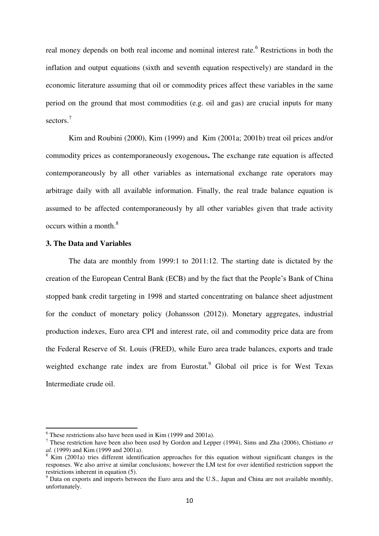real money depends on both real income and nominal interest rate.<sup>6</sup> Restrictions in both the inflation and output equations (sixth and seventh equation respectively) are standard in the economic literature assuming that oil or commodity prices affect these variables in the same period on the ground that most commodities (e.g. oil and gas) are crucial inputs for many sectors.<sup>7</sup>

Kim and Roubini (2000), Kim (1999) and Kim (2001a; 2001b) treat oil prices and/or commodity prices as contemporaneously exogenous**.** The exchange rate equation is affected contemporaneously by all other variables as international exchange rate operators may arbitrage daily with all available information. Finally, the real trade balance equation is assumed to be affected contemporaneously by all other variables given that trade activity occurs within a month.<sup>8</sup>

# **3. The Data and Variables**

 $\overline{a}$ 

The data are monthly from 1999:1 to 2011:12. The starting date is dictated by the creation of the European Central Bank (ECB) and by the fact that the People's Bank of China stopped bank credit targeting in 1998 and started concentrating on balance sheet adjustment for the conduct of monetary policy (Johansson (2012)). Monetary aggregates, industrial production indexes, Euro area CPI and interest rate, oil and commodity price data are from the Federal Reserve of St. Louis (FRED), while Euro area trade balances, exports and trade weighted exchange rate index are from Eurostat.<sup>9</sup> Global oil price is for West Texas Intermediate crude oil.

 $6$  These restrictions also have been used in Kim (1999 and 2001a).

<sup>7</sup> These restriction have been also been used by Gordon and Lepper (1994), Sims and Zha (2006), Chistiano *et al.* (1999) and Kim (1999 and 2001a).

<sup>&</sup>lt;sup>8</sup> Kim (2001a) tries different identification approaches for this equation without significant changes in the responses. We also arrive at similar conclusions; however the LM test for over identified restriction support the restrictions inherent in equation (5).

<sup>&</sup>lt;sup>9</sup> Data on exports and imports between the Euro area and the U.S., Japan and China are not available monthly, unfortunately.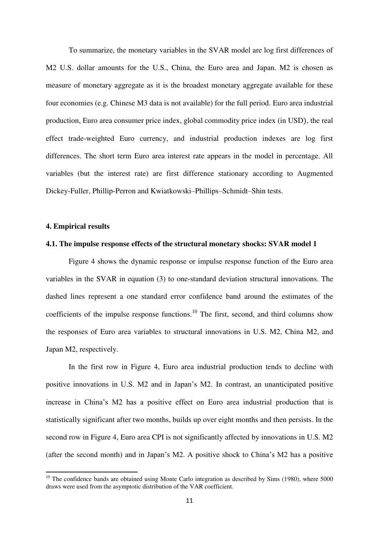To summarize, the monetary variables in the SVAR model are log first differences of M2 U.S. dollar amounts for the U.S., China, the Euro area and Japan. M2 is chosen as measure of monetary aggregate as it is the broadest monetary aggregate available for these four economies (e.g. Chinese M3 data is not available) for the full period. Euro area industrial production, Euro area consumer price index, global commodity price index (in USD , the real effect trade-weighted Euro currency, and industrial production indexes are log first differences. The short term Euro area interest rate appears in the model in percentage. All variables (but the interest rate) are first difference stationary according to Augmented Dickey-Fuller, Phillip-Perron and Kwiatkowski–Phillips–Schmidt–Shin tests.

# **4. Empirical results**

 $\overline{a}$ 

#### **4.1. The impulse response effects of the structural monetary shocks: SVAR model 1**

Figure 4 shows the dynamic response or impulse response function of the Euro area variables in the SVAR in equation (3) to one-standard deviation structural innovations. The dashed lines represent a one standard error confidence band around the estimates of the coefficients of the impulse response functions.<sup>10</sup> The first, second, and third columns show the responses of Euro area variables to structural innovations in U.S. M2, China M2, and Japan M2, respectively.

In the first row in Figure 4, Euro area industrial production tends to decline with positive innovations in U.S. M2 and in Japan"s M2. In contrast, an unanticipated positive increase in China"s M2 has a positive effect on Euro area industrial production that is statistically significant after two months, builds up over eight months and then persists. In the second row in Figure 4, Euro area CPI is not significantly affected by innovations in U.S. M2 (after the second month) and in Japan's M2. A positive shock to China's M2 has a positive

 $10$  The confidence bands are obtained using Monte Carlo integration as described by Sims (1980), where 5000 draws were used from the asymptotic distribution of the VAR coefficient.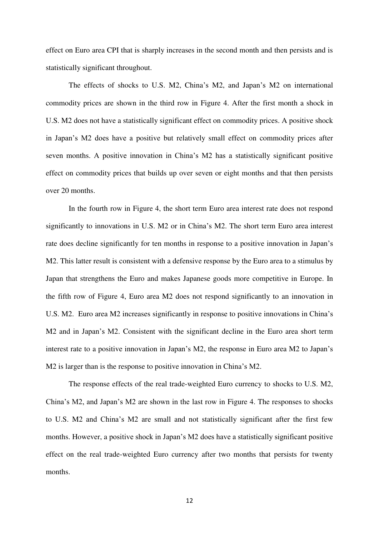effect on Euro area CPI that is sharply increases in the second month and then persists and is statistically significant throughout.

The effects of shocks to U.S. M2, China"s M2, and Japan"s M2 on international commodity prices are shown in the third row in Figure 4. After the first month a shock in U.S. M2 does not have a statistically significant effect on commodity prices. A positive shock in Japan"s M2 does have a positive but relatively small effect on commodity prices after seven months. A positive innovation in China's M2 has a statistically significant positive effect on commodity prices that builds up over seven or eight months and that then persists over 20 months.

In the fourth row in Figure 4, the short term Euro area interest rate does not respond significantly to innovations in U.S. M2 or in China"s M2. The short term Euro area interest rate does decline significantly for ten months in response to a positive innovation in Japan"s M2. This latter result is consistent with a defensive response by the Euro area to a stimulus by Japan that strengthens the Euro and makes Japanese goods more competitive in Europe. In the fifth row of Figure 4, Euro area M2 does not respond significantly to an innovation in U.S. M2. Euro area M2 increases significantly in response to positive innovations in China"s M2 and in Japan's M2. Consistent with the significant decline in the Euro area short term interest rate to a positive innovation in Japan's M2, the response in Euro area M2 to Japan's M2 is larger than is the response to positive innovation in China's M2.

The response effects of the real trade-weighted Euro currency to shocks to U.S. M2, China's M2, and Japan's M2 are shown in the last row in Figure 4. The responses to shocks to U.S. M2 and China"s M2 are small and not statistically significant after the first few months. However, a positive shock in Japan's M2 does have a statistically significant positive effect on the real trade-weighted Euro currency after two months that persists for twenty months.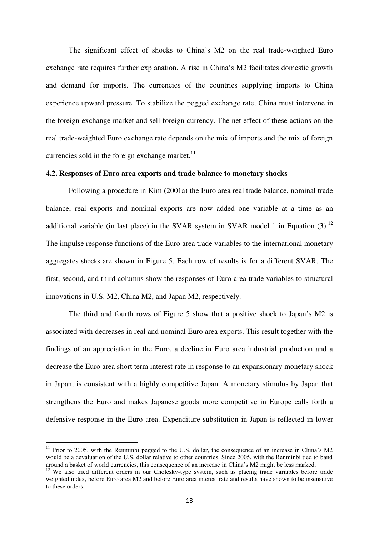The significant effect of shocks to China"s M2 on the real trade-weighted Euro exchange rate requires further explanation. A rise in China's M2 facilitates domestic growth and demand for imports. The currencies of the countries supplying imports to China experience upward pressure. To stabilize the pegged exchange rate, China must intervene in the foreign exchange market and sell foreign currency. The net effect of these actions on the real trade-weighted Euro exchange rate depends on the mix of imports and the mix of foreign currencies sold in the foreign exchange market. $^{11}$ 

### **4.2. Responses of Euro area exports and trade balance to monetary shocks**

Following a procedure in Kim (2001a) the Euro area real trade balance, nominal trade balance, real exports and nominal exports are now added one variable at a time as an additional variable (in last place) in the SVAR system in SVAR model 1 in Equation  $(3)$ .<sup>12</sup> The impulse response functions of the Euro area trade variables to the international monetary aggregates shocks are shown in Figure 5. Each row of results is for a different SVAR. The first, second, and third columns show the responses of Euro area trade variables to structural innovations in U.S. M2, China M2, and Japan M2, respectively.

The third and fourth rows of Figure 5 show that a positive shock to Japan"s M2 is associated with decreases in real and nominal Euro area exports. This result together with the findings of an appreciation in the Euro, a decline in Euro area industrial production and a decrease the Euro area short term interest rate in response to an expansionary monetary shock in Japan, is consistent with a highly competitive Japan. A monetary stimulus by Japan that strengthens the Euro and makes Japanese goods more competitive in Europe calls forth a defensive response in the Euro area. Expenditure substitution in Japan is reflected in lower

 $\overline{a}$ 

 $11$  Prior to 2005, with the Renminbi pegged to the U.S. dollar, the consequence of an increase in China's M2 would be a devaluation of the U.S. dollar relative to other countries. Since 2005, with the Renminbi tied to band around a basket of world currencies, this consequence of an increase in China's M2 might be less marked.

<sup>&</sup>lt;sup>12</sup> We also tried different orders in our Cholesky-type system, such as placing trade variables before trade weighted index, before Euro area M2 and before Euro area interest rate and results have shown to be insensitive to these orders.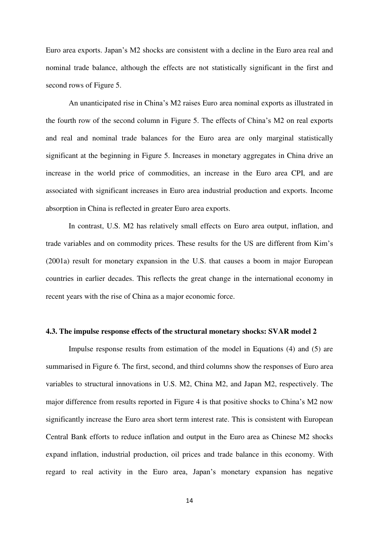Euro area exports. Japan's M2 shocks are consistent with a decline in the Euro area real and nominal trade balance, although the effects are not statistically significant in the first and second rows of Figure 5.

An unanticipated rise in China's M2 raises Euro area nominal exports as illustrated in the fourth row of the second column in Figure 5. The effects of China's M2 on real exports and real and nominal trade balances for the Euro area are only marginal statistically significant at the beginning in Figure 5. Increases in monetary aggregates in China drive an increase in the world price of commodities, an increase in the Euro area CPI, and are associated with significant increases in Euro area industrial production and exports. Income absorption in China is reflected in greater Euro area exports.

In contrast, U.S. M2 has relatively small effects on Euro area output, inflation, and trade variables and on commodity prices. These results for the US are different from Kim's (2001a) result for monetary expansion in the U.S. that causes a boom in major European countries in earlier decades. This reflects the great change in the international economy in recent years with the rise of China as a major economic force.

# **4.3. The impulse response effects of the structural monetary shocks: SVAR model 2**

Impulse response results from estimation of the model in Equations (4) and (5) are summarised in Figure 6. The first, second, and third columns show the responses of Euro area variables to structural innovations in U.S. M2, China M2, and Japan M2, respectively. The major difference from results reported in Figure 4 is that positive shocks to China's M2 now significantly increase the Euro area short term interest rate. This is consistent with European Central Bank efforts to reduce inflation and output in the Euro area as Chinese M2 shocks expand inflation, industrial production, oil prices and trade balance in this economy. With regard to real activity in the Euro area, Japan"s monetary expansion has negative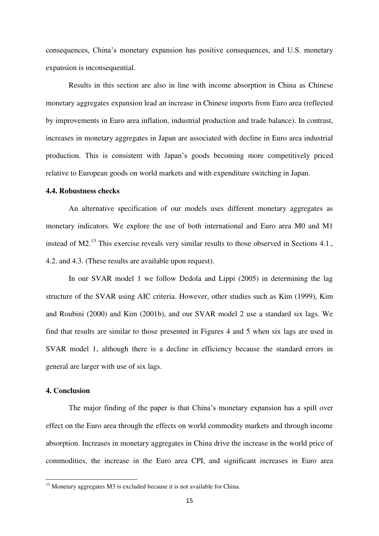consequences, China"s monetary expansion has positive consequences, and U.S. monetary expansion is inconsequential.

Results in this section are also in line with income absorption in China as Chinese monetary aggregates expansion lead an increase in Chinese imports from Euro area (reflected by improvements in Euro area inflation, industrial production and trade balance). In contrast, increases in monetary aggregates in Japan are associated with decline in Euro area industrial production. This is consistent with Japan"s goods becoming more competitively priced relative to European goods on world markets and with expenditure switching in Japan.

### **4.4. Robustness checks**

An alternative specification of our models uses different monetary aggregates as monetary indicators. We explore the use of both international and Euro area M0 and M1 instead of M2.<sup>13</sup> This exercise reveals very similar results to those observed in Sections 4.1., 4.2. and 4.3. (These results are available upon request).

In our SVAR model 1 we follow Dedola and Lippi (2005) in determining the lag structure of the SVAR using AIC criteria. However, other studies such as Kim (1999), Kim and Roubini (2000) and Kim (2001b), and our SVAR model 2 use a standard six lags. We find that results are similar to those presented in Figures 4 and 5 when six lags are used in SVAR model 1, although there is a decline in efficiency because the standard errors in general are larger with use of six lags.

# **4. Conclusion**

 $\overline{a}$ 

The major finding of the paper is that China's monetary expansion has a spill over effect on the Euro area through the effects on world commodity markets and through income absorption. Increases in monetary aggregates in China drive the increase in the world price of commodities, the increase in the Euro area CPI, and significant increases in Euro area

<sup>&</sup>lt;sup>13</sup> Monetary aggregates M3 is excluded because it is not available for China.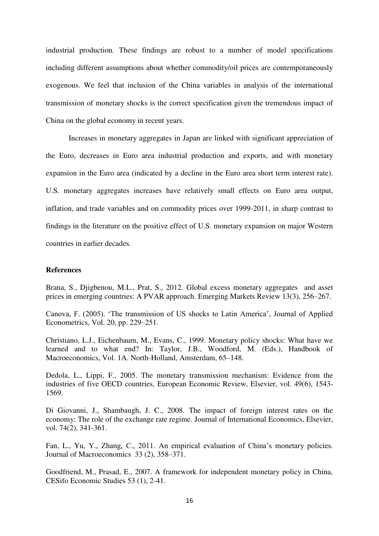industrial production. These findings are robust to a number of model specifications including different assumptions about whether commodity/oil prices are contemporaneously exogenous. We feel that inclusion of the China variables in analysis of the international transmission of monetary shocks is the correct specification given the tremendous impact of China on the global economy in recent years.

Increases in monetary aggregates in Japan are linked with significant appreciation of the Euro, decreases in Euro area industrial production and exports, and with monetary expansion in the Euro area (indicated by a decline in the Euro area short term interest rate). U.S. monetary aggregates increases have relatively small effects on Euro area output, inflation, and trade variables and on commodity prices over 1999-2011, in sharp contrast to findings in the literature on the positive effect of U.S. monetary expansion on major Western countries in earlier decades.

# **References**

Brana, S., Djigbenou, M.L., Prat, S., 2012. Global excess monetary aggregates and asset prices in emerging countries: A PVAR approach. Emerging Markets Review 13(3), 256–267.

Canova, F. (2005). 'The transmission of US shocks to Latin America', Journal of Applied Econometrics, Vol. 20, pp. 229–251.

Christiano, L.J., Eichenbaum, M., Evans, C., 1999. Monetary policy shocks: What have we learned and to what end? In: Taylor, J.B., Woodford, M. (Eds.), Handbook of Macroeconomics, Vol. 1A. North-Holland, Amsterdam, 65–148.

Dedola, L., Lippi, F., 2005. The monetary transmission mechanism: Evidence from the industries of five OECD countries, European Economic Review, Elsevier, vol. 49(6), 1543- 1569.

Di Giovanni, J., Shambaugh, J. C., 2008. [The impact of foreign interest rates on the](http://ideas.repec.org/a/eee/inecon/v74y2008i2p341-361.html)  [economy: The role of the exchange rate regime.](http://ideas.repec.org/a/eee/inecon/v74y2008i2p341-361.html) [Journal of International Economics,](http://ideas.repec.org/s/eee/inecon.html) Elsevier, vol. 74(2), 341-361.

Fan, L., Yu, Y., Zhang, C., 2011. An empirical evaluation of China"s monetary policies. [Journal of Macroeconomics](http://www.sciencedirect.com/science/journal/01640704) [33 \(2\)](http://www.sciencedirect.com/science/journal/01640704/33/2), 358–371.

Goodfriend, M., Prasad, E., 2007. A framework for independent monetary policy in China, CESifo Economic Studies 53 (1), 2-41.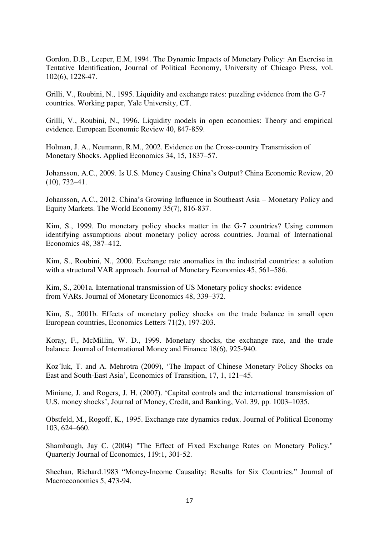Gordon, D.B., Leeper, E.M, 1994. [The Dynamic Impacts of Monetary Policy: An Exercise in](http://ideas.repec.org/a/ucp/jpolec/v102y1994i6p1228-47.html)  [Tentative Identification,](http://ideas.repec.org/a/ucp/jpolec/v102y1994i6p1228-47.html) [Journal of Political Economy,](http://ideas.repec.org/s/ucp/jpolec.html) University of Chicago Press, vol. 102(6), 1228-47.

Grilli, V., Roubini, N., 1995. Liquidity and exchange rates: puzzling evidence from the G-7 countries. Working paper, Yale University, CT.

Grilli, V., Roubini, N., 1996. Liquidity models in open economies: Theory and empirical evidence. European Economic Review 40, 847-859.

Holman, J. A., Neumann, R.M., 2002. Evidence on the Cross-country Transmission of Monetary Shocks. Applied Economics 34, 15, 1837–57.

Johansson, A.C., 2009. Is U.S. Money Causing China's Output? China Economic Review, 20 (10), 732–41.

Johansson, A.C., 2012. China's Growing Influence in Southeast Asia – Monetary Policy and Equity Markets. The World Economy 35(7), 816-837.

Kim, S., 1999. Do monetary policy shocks matter in the G-7 countries? Using common identifying assumptions about monetary policy across countries. Journal of International Economics 48, 387–412.

Kim, S., Roubini, N., 2000. Exchange rate anomalies in the industrial countries: a solution with a structural VAR approach. Journal of Monetary Economics 45, 561–586.

Kim, S., 2001a. International transmission of US Monetary policy shocks: evidence from VARs. Journal of Monetary Economics 48, 339–372.

Kim, S., 2001b. Effects of monetary policy shocks on the trade balance in small open European countries, Economics Letters 71(2), 197-203.

Koray, F., McMillin, W. D., 1999. [Monetary shocks, the exchange rate, and the trade](http://ideas.repec.org/a/eee/jimfin/v18y1999i6p925-940.html)  [balance.](http://ideas.repec.org/a/eee/jimfin/v18y1999i6p925-940.html) [Journal of International Money and Finance](http://ideas.repec.org/s/eee/jimfin.html) 18(6), 925-940.

Koz'luk, T. and A. Mehrotra (2009), 'The Impact of Chinese Monetary Policy Shocks on East and South-East Asia', Economics of Transition, 17, 1, 121–45.

Miniane, J. and Rogers, J. H. (2007). 'Capital controls and the international transmission of U.S. money shocks', Journal of Money, Credit, and Banking, Vol. 39, pp. 1003–1035.

Obstfeld, M., Rogoff, K., 1995. Exchange rate dynamics redux. Journal of Political Economy 103, 624–660.

Shambaugh, Jay C. (2004) "The Effect of Fixed Exchange Rates on Monetary Policy." Quarterly Journal of Economics, 119:1, 301-52.

Sheehan, Richard.1983 "Money-Income Causality: Results for Six Countries." Journal of Macroeconomics 5, 473-94.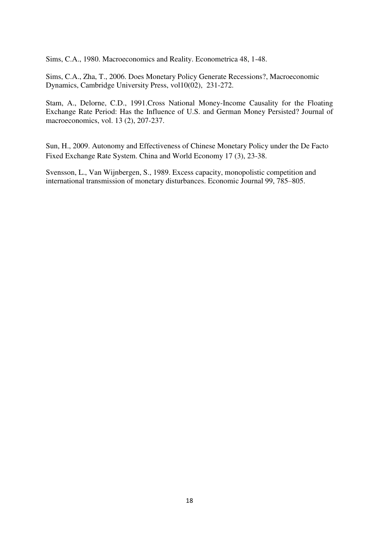Sims, C.A., 1980. Macroeconomics and Reality. Econometrica 48, 1-48.

Sims, C.A., Zha, T., 2006. [Does Monetary Policy Generate Recessions?,](http://ideas.repec.org/a/cup/macdyn/v10y2006i02p231-272_05.html) [Macroeconomic](http://ideas.repec.org/s/cup/macdyn.html)  [Dynamics,](http://ideas.repec.org/s/cup/macdyn.html) Cambridge University Press, vol10(02), 231-272.

Stam, A., Delorne, C.D., 1991.Cross National Money-Income Causality for the Floating Exchange Rate Period: Has the Influence of U.S. and German Money Persisted? Journal of macroeconomics, vol. 13 (2), 207-237.

Sun, H., 2009. Autonomy and Effectiveness of Chinese Monetary Policy under the De Facto Fixed Exchange Rate System. China and World Economy 17 (3), 23-38.

Svensson, L., Van Wijnbergen, S., 1989. Excess capacity, monopolistic competition and international transmission of monetary disturbances. Economic Journal 99, 785–805.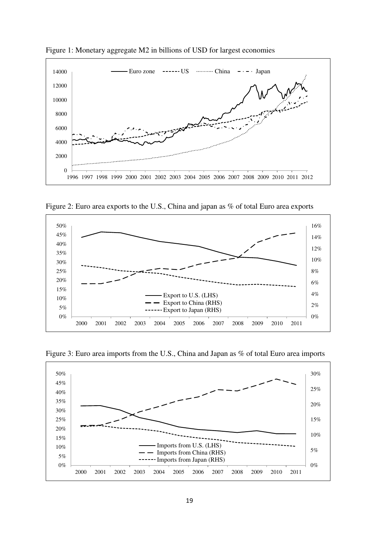

Figure 1: Monetary aggregate M2 in billions of USD for largest economies

Figure 2: Euro area exports to the U.S., China and japan as % of total Euro area exports





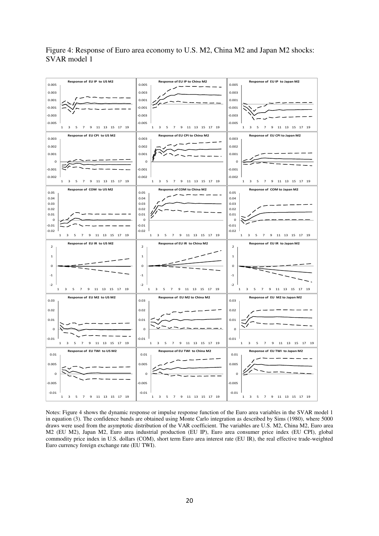

Figure 4: Response of Euro area economy to U.S. M2, China M2 and Japan M2 shocks: SVAR model 1

Notes: Figure 4 shows the dynamic response or impulse response function of the Euro area variables in the SVAR model 1 in equation (3). The confidence bands are obtained using Monte Carlo integration as described by Sims (1980), where 5000 draws were used from the asymptotic distribution of the VAR coefficient. The variables are U.S. M2, China M2, Euro area M2 (EU M2), Japan M2, Euro area industrial production (EU IP), Euro area consumer price index (EU CPI), global commodity price index in U.S. dollars (COM), short term Euro area interest rate (EU IR), the real effective trade-weighted Euro currency foreign exchange rate (EU TWI).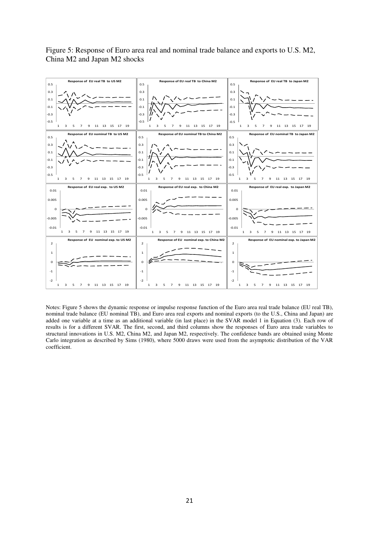

Figure 5: Response of Euro area real and nominal trade balance and exports to U.S. M2, China M2 and Japan M2 shocks

Notes: Figure 5 shows the dynamic response or impulse response function of the Euro area real trade balance (EU real TB), nominal trade balance (EU nominal TB), and Euro area real exports and nominal exports (to the U.S., China and Japan) are added one variable at a time as an additional variable (in last place) in the SVAR model 1 in Equation (3). Each row of results is for a different SVAR. The first, second, and third columns show the responses of Euro area trade variables to structural innovations in U.S. M2, China M2, and Japan M2, respectively. The confidence bands are obtained using Monte Carlo integration as described by Sims (1980), where 5000 draws were used from the asymptotic distribution of the VAR coefficient.